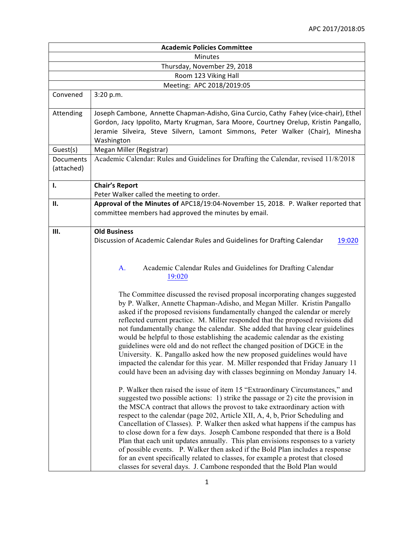| <b>Academic Policies Committee</b> |                                                                                                                                                                                                                                                                                                                                                                                                                                                                                                                                                                                                                                                                                                                                                                                                                                       |  |
|------------------------------------|---------------------------------------------------------------------------------------------------------------------------------------------------------------------------------------------------------------------------------------------------------------------------------------------------------------------------------------------------------------------------------------------------------------------------------------------------------------------------------------------------------------------------------------------------------------------------------------------------------------------------------------------------------------------------------------------------------------------------------------------------------------------------------------------------------------------------------------|--|
| <b>Minutes</b>                     |                                                                                                                                                                                                                                                                                                                                                                                                                                                                                                                                                                                                                                                                                                                                                                                                                                       |  |
| Thursday, November 29, 2018        |                                                                                                                                                                                                                                                                                                                                                                                                                                                                                                                                                                                                                                                                                                                                                                                                                                       |  |
|                                    | Room 123 Viking Hall                                                                                                                                                                                                                                                                                                                                                                                                                                                                                                                                                                                                                                                                                                                                                                                                                  |  |
|                                    | Meeting: APC 2018/2019:05                                                                                                                                                                                                                                                                                                                                                                                                                                                                                                                                                                                                                                                                                                                                                                                                             |  |
| Convened                           | 3:20 p.m.                                                                                                                                                                                                                                                                                                                                                                                                                                                                                                                                                                                                                                                                                                                                                                                                                             |  |
| Attending                          | Joseph Cambone, Annette Chapman-Adisho, Gina Curcio, Cathy Fahey (vice-chair), Ethel<br>Gordon, Jacy Ippolito, Marty Krugman, Sara Moore, Courtney Orelup, Kristin Pangallo,<br>Jeramie Silveira, Steve Silvern, Lamont Simmons, Peter Walker (Chair), Minesha<br>Washington                                                                                                                                                                                                                                                                                                                                                                                                                                                                                                                                                          |  |
| Guest(s)                           | Megan Miller (Registrar)                                                                                                                                                                                                                                                                                                                                                                                                                                                                                                                                                                                                                                                                                                                                                                                                              |  |
| Documents<br>(attached)            | Academic Calendar: Rules and Guidelines for Drafting the Calendar, revised 11/8/2018                                                                                                                                                                                                                                                                                                                                                                                                                                                                                                                                                                                                                                                                                                                                                  |  |
| I.                                 | <b>Chair's Report</b><br>Peter Walker called the meeting to order.                                                                                                                                                                                                                                                                                                                                                                                                                                                                                                                                                                                                                                                                                                                                                                    |  |
| П.                                 | Approval of the Minutes of APC18/19:04-November 15, 2018. P. Walker reported that<br>committee members had approved the minutes by email.                                                                                                                                                                                                                                                                                                                                                                                                                                                                                                                                                                                                                                                                                             |  |
| Ш.                                 | <b>Old Business</b><br>Discussion of Academic Calendar Rules and Guidelines for Drafting Calendar<br>19:020                                                                                                                                                                                                                                                                                                                                                                                                                                                                                                                                                                                                                                                                                                                           |  |
|                                    | Academic Calendar Rules and Guidelines for Drafting Calendar<br>A.<br>19:020                                                                                                                                                                                                                                                                                                                                                                                                                                                                                                                                                                                                                                                                                                                                                          |  |
|                                    | The Committee discussed the revised proposal incorporating changes suggested<br>by P. Walker, Annette Chapman-Adisho, and Megan Miller. Kristin Pangallo<br>asked if the proposed revisions fundamentally changed the calendar or merely<br>reflected current practice. M. Miller responded that the proposed revisions did<br>not fundamentally change the calendar. She added that having clear guidelines<br>would be helpful to those establishing the academic calendar as the existing<br>guidelines were old and do not reflect the changed position of DGCE in the<br>University. K. Pangallo asked how the new proposed guidelines would have<br>impacted the calendar for this year. M. Miller responded that Friday January 11<br>could have been an advising day with classes beginning on Monday January 14.             |  |
|                                    | P. Walker then raised the issue of item 15 "Extraordinary Circumstances," and<br>suggested two possible actions: 1) strike the passage or 2) cite the provision in<br>the MSCA contract that allows the provost to take extraordinary action with<br>respect to the calendar (page 202, Article XII, A, 4, b, Prior Scheduling and<br>Cancellation of Classes). P. Walker then asked what happens if the campus has<br>to close down for a few days. Joseph Cambone responded that there is a Bold<br>Plan that each unit updates annually. This plan envisions responses to a variety<br>of possible events. P. Walker then asked if the Bold Plan includes a response<br>for an event specifically related to classes, for example a protest that closed<br>classes for several days. J. Cambone responded that the Bold Plan would |  |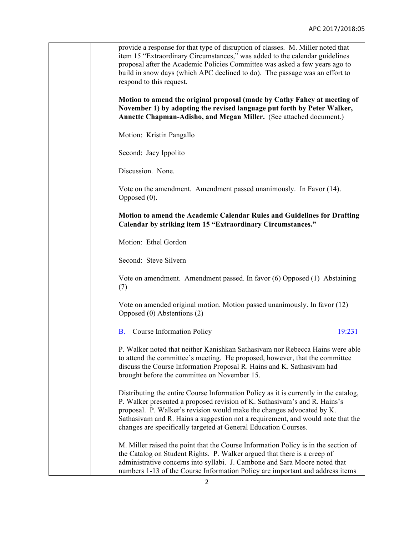| provide a response for that type of disruption of classes. M. Miller noted that<br>item 15 "Extraordinary Circumstances," was added to the calendar guidelines<br>proposal after the Academic Policies Committee was asked a few years ago to<br>build in snow days (which APC declined to do). The passage was an effort to<br>respond to this request.                                         |
|--------------------------------------------------------------------------------------------------------------------------------------------------------------------------------------------------------------------------------------------------------------------------------------------------------------------------------------------------------------------------------------------------|
| Motion to amend the original proposal (made by Cathy Fahey at meeting of<br>November 1) by adopting the revised language put forth by Peter Walker,<br>Annette Chapman-Adisho, and Megan Miller. (See attached document.)                                                                                                                                                                        |
| Motion: Kristin Pangallo                                                                                                                                                                                                                                                                                                                                                                         |
| Second: Jacy Ippolito                                                                                                                                                                                                                                                                                                                                                                            |
| Discussion. None.                                                                                                                                                                                                                                                                                                                                                                                |
| Vote on the amendment. Amendment passed unanimously. In Favor (14).<br>Opposed $(0)$ .                                                                                                                                                                                                                                                                                                           |
| Motion to amend the Academic Calendar Rules and Guidelines for Drafting<br>Calendar by striking item 15 "Extraordinary Circumstances."                                                                                                                                                                                                                                                           |
| Motion: Ethel Gordon                                                                                                                                                                                                                                                                                                                                                                             |
| Second: Steve Silvern                                                                                                                                                                                                                                                                                                                                                                            |
| Vote on amendment. Amendment passed. In favor (6) Opposed (1) Abstaining<br>(7)                                                                                                                                                                                                                                                                                                                  |
| Vote on amended original motion. Motion passed unanimously. In favor (12)<br>Opposed (0) Abstentions (2)                                                                                                                                                                                                                                                                                         |
| <b>B.</b> Course Information Policy<br>19:231                                                                                                                                                                                                                                                                                                                                                    |
| P. Walker noted that neither Kanishkan Sathasivam nor Rebecca Hains were able<br>to attend the committee's meeting. He proposed, however, that the committee<br>discuss the Course Information Proposal R. Hains and K. Sathasivam had<br>brought before the committee on November 15.                                                                                                           |
| Distributing the entire Course Information Policy as it is currently in the catalog,<br>P. Walker presented a proposed revision of K. Sathasivam's and R. Hains's<br>proposal. P. Walker's revision would make the changes advocated by K.<br>Sathasivam and R. Hains a suggestion not a requirement, and would note that the<br>changes are specifically targeted at General Education Courses. |
| M. Miller raised the point that the Course Information Policy is in the section of<br>the Catalog on Student Rights. P. Walker argued that there is a creep of<br>administrative concerns into syllabi. J. Cambone and Sara Moore noted that<br>numbers 1-13 of the Course Information Policy are important and address items                                                                    |